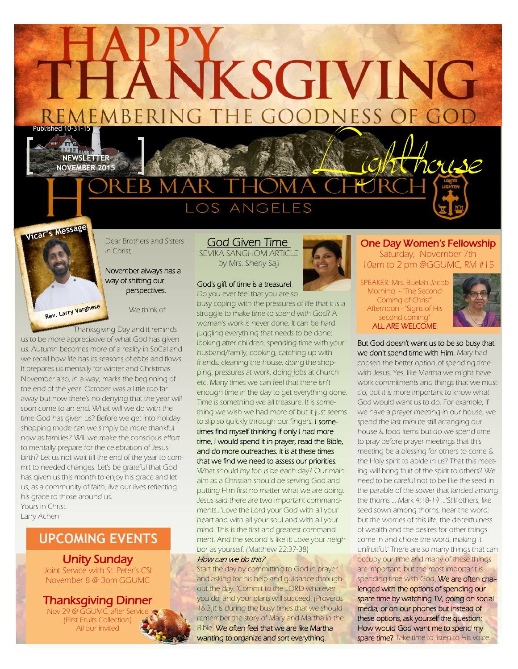AKKSGIVING

REMEMBERING THE GOODNESS OF GOD

**NEWSLETTER**





Dear Brothers and Sisters in Christ,

#### November always has a way of shifting our perspectives.

We think of

 Thanksgiving Day and it reminds us to be more appreciative of what God has given us. Autumn becomes more of a reality in SoCal and we recall how life has its seasons of ebbs and flows. It prepares us mentally for winter and Christmas. November also, in a way, marks the beginning of the end of the year. October was a little too far away but now there's no denying that the year will soon come to an end. What will we do with the time God has given us? Before we get into holiday shopping mode can we simply be more thankful now as families? Will we make the conscious effort to mentally prepare for the celebration of Jesus' birth? Let us not wait till the end of the year to commit to needed changes. Let's be grateful that God has given us this month to enjoy his grace and let us, as a community of faith, live our lives reflecting his grace to those around us. Yours in Christ.

Larry Achen

# **UPCOMING EVENTS**

## Unity Sunday

Joint Service with St. Peter's CSI November 8 @ 3pm GGUMC

### $\overline{\phantom{a}}$  , where  $\overline{\phantom{a}}$ Thanksgiving Dinner

Nov 29 @ GGUMC, after Service (First Fruits Collection) All our invited



## God Given Time

SEVIKA SANGHOM ARTICLE by Mrs. Sherly Saji

bor as yourself. (Matthew 22:37-38)

Start the day by committing to God in prayer and asking for his help and guidance throughout the day. 'Commit to the LORD whatever you do, and your plans will succeed. (Proverbs 16:3)It is during the busy times that we should remember the story of Mary and Martha in the Bible. We often feel that we are like Martha wanting to organize and sort everything.

How can we do this?

busy coping with the pressures of life that it is a struggle to make time to spend with God? A woman's work is never done. It can be hard juggling everything that needs to be done; looking after children, spending time with your husband/family, cooking, catching up with friends, cleaning the house, doing the shopping, pressures at work, doing jobs at church etc. Many times we can feel that there isn't enough time in the day to get everything done. Time is something we all treasure. It is something we wish we had more of but it just seems to slip so quickly through our fingers. I sometimes find myself thinking if only I had more time, I would spend it in prayer, read the Bible, and do more outreaches. It is at these times that we find we need to assess our priorities. What should my focus be each day? Our main aim as a Christian should be serving God and putting Him first no matter what we are doing. Jesus said there are two important commandments...'Love the Lord your God with all your heart and with all your soul and with all your mind. This is the first and greatest commandment. And the second is like it: Love your neigh-

#### God's gift of time is a treasure! Do you ever feel that you are so



Saturday, November 7th 10am to 2 pm @GGUMC, RM #15 SPEAKER: Mrs. Buelah Jacob Morning - "The Second Coming of Christ"

One Day Women's Fellowship

Afternoon - "Signs of His second comina ALL ARE WELCOME



But God doesn't want us to be so busy that we don't spend time with Him. Mary had chosen the better option of spending time with Jesus. Yes, like Martha we might have work commitments and things that we must do, but it is more important to know what God would want us to do. For example, if we have a prayer meeting in our house, we spend the last minute still arranging our house & food items but do we spend time to pray before prayer meetings that this meeting be a blessing for others to come & the Holy spirit to abide in us? That this meeting will bring fruit of the spirit to others? We need to be careful not to be like the seed in the parable of the sower that landed among the thorns ... Mark 4:18-19 ...'Still others, like seed sown among thorns, hear the word; but the worries of this life, the deceitfulness of wealth and the desires for other things come in and choke the word, making it unfruitful.' There are so many things that can occupy our time and many of these things are important, but the most important is spending time with God. We are often challenged with the options of spending our spare time by watching TV, going on social media, or on our phones but instead of these options, ask yourself the question: How would God want me to spend my spare time? Take time to listen to His voice.